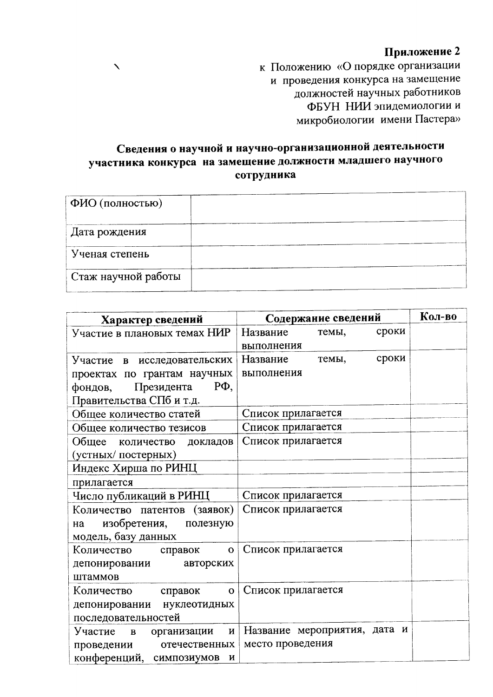## Приложение 2

к Положению «О порядке организации и проведения конкурса на замещение должностей научных работников ФБУН НИИ эпидемиологии и микробиологии имени Пастера»

## Сведения о научной и научно-организационной деятельности участника конкурса на замещение должности младшего научного сотрудника

 $\blacktriangle$ 

| ФИО (полностью)     |  |
|---------------------|--|
| Дата рождения       |  |
| Ученая степень      |  |
| Стаж научной работы |  |

| Характер сведений                     | Содержание сведений          | Кол-во |
|---------------------------------------|------------------------------|--------|
| Участие в плановых темах НИР          | Название<br>сроки<br>темы,   |        |
|                                       | выполнения                   |        |
| Участие в исследовательских           | сроки<br>Название<br>темы,   |        |
| проектах по грантам научных           | выполнения                   |        |
| $P\Phi$ ,<br>Президента<br>фондов,    |                              |        |
| Правительства СПб и т.д.              |                              |        |
| Общее количество статей               | Список прилагается           |        |
| Общее количество тезисов              | Список прилагается           |        |
| Общее количество докладов             | Список прилагается           |        |
| (устных/постерных)                    |                              |        |
| Индекс Хирша по РИНЦ                  |                              |        |
| прилагается                           |                              |        |
| Число публикаций в РИНЦ               | Список прилагается           |        |
| Количество патентов (заявок)          | Список прилагается           |        |
| изобретения,<br>полезную<br>на        |                              |        |
| модель, базу данных                   |                              |        |
| Количество справок<br>$\mathbf{o}$    | Список прилагается           |        |
| авторских<br>депонировании            |                              |        |
| штаммов                               |                              |        |
| Количество<br>справок<br>$\mathbf{O}$ | Список прилагается           |        |
| депонировании нуклеотидных            |                              |        |
| последовательностей                   |                              |        |
| Участие в<br>организации<br>И         | Название мероприятия, дата и |        |
| отечественных<br>проведении           | место проведения             |        |
| конференций, симпозиумов<br>И         |                              |        |